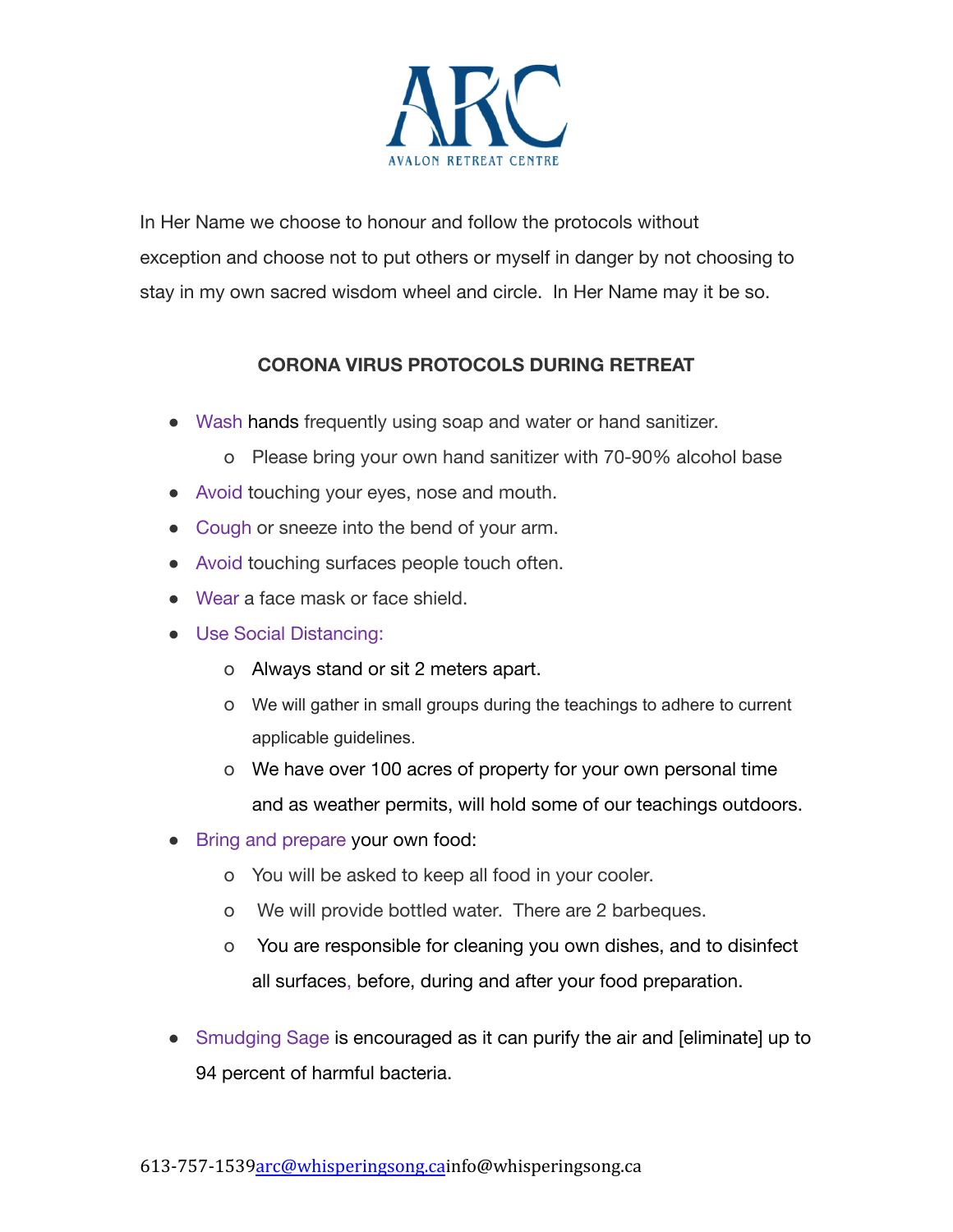

In Her Name we choose to honour and follow the protocols without exception and choose not to put others or myself in danger by not choosing to stay in my own sacred wisdom wheel and circle. In Her Name may it be so.

## **CORONA VIRUS PROTOCOLS DURING RETREAT**

- Wash hands frequently using soap and water or hand sanitizer.
	- o Please bring your own hand sanitizer with 70-90% alcohol base
- Avoid touching your eyes, nose and mouth.
- Cough or sneeze into the bend of your arm.
- Avoid touching surfaces people touch often.
- Wear a face mask or face shield.
- Use Social Distancing:
	- o Always stand or sit 2 meters apart.
	- o We will gather in small groups during the teachings to adhere to current applicable guidelines.
	- o We have over 100 acres of property for your own personal time and as weather permits, will hold some of our teachings outdoors.
- Bring and prepare your own food:
	- o You will be asked to keep all food in your cooler.
	- o We will provide bottled water. There are 2 barbeques.
	- o You are responsible for cleaning you own dishes, and to disinfect all surfaces, before, during and after your food preparation.
- Smudging Sage is encouraged as it can purify the air and [eliminate] up to 94 percent of harmful bacteria.